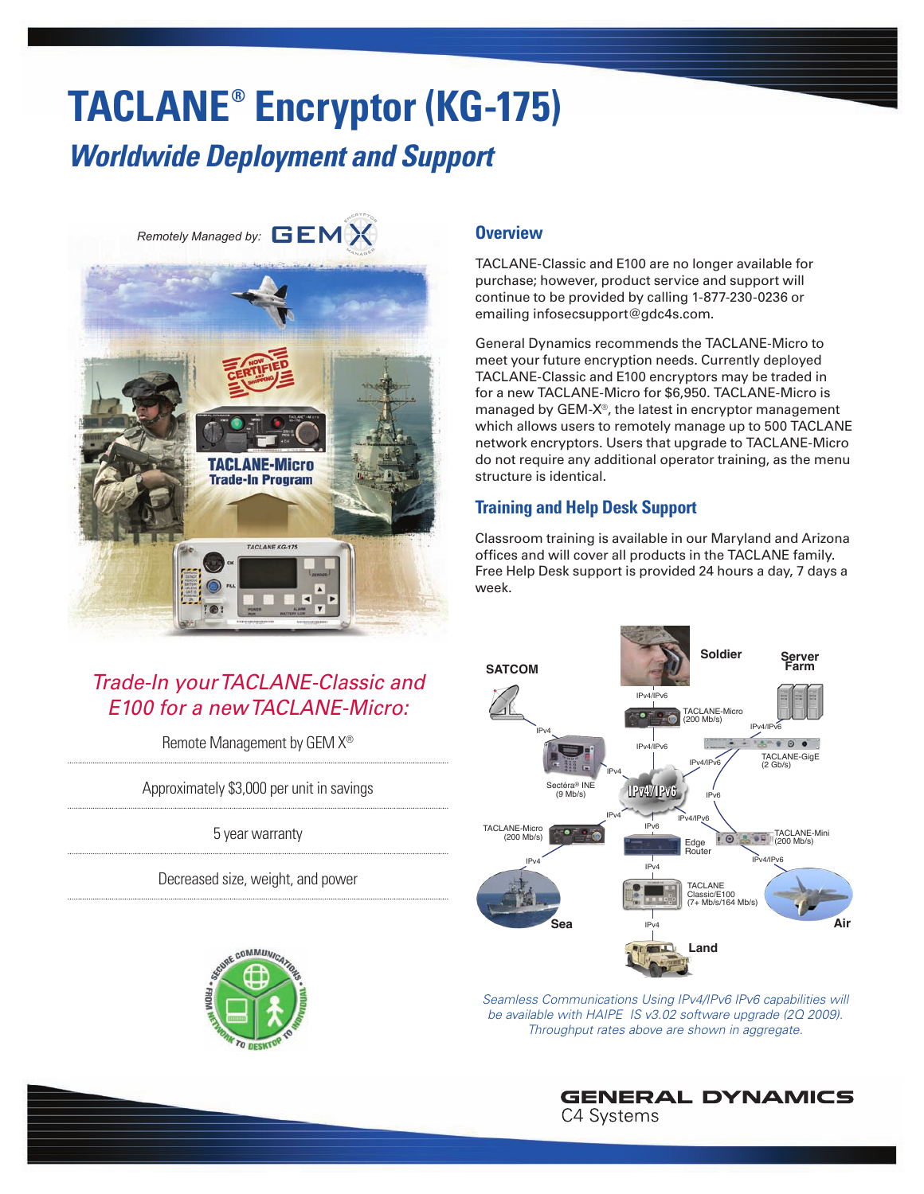# **TACLANE® Encryptor (KG-175)** *Worldwide Deployment and Support*

*Remotely Managed by:*



# *Trade-In your TACLANE-Classic and E100 for a new TACLANE-Micro:*

Remote Management by GEM X®

Approximately \$3,000 per unit in savings

5 year warranty

Decreased size, weight, and power



## **Overview**

TACLANE-Classic and E100 are no longer available for purchase; however, product service and support will continue to be provided by calling 1-877-230-0236 or emailing infosecsupport@gdc4s.com.

General Dynamics recommends the TACLANE-Micro to meet your future encryption needs. Currently deployed TACLANE-Classic and E100 encryptors may be traded in for a new TACLANE-Micro for \$6,950. TACLANE-Micro is managed by GEM-X®, the latest in encryptor management which allows users to remotely manage up to 500 TACLANE network encryptors. Users that upgrade to TACLANE-Micro do not require any additional operator training, as the menu structure is identical.

# **Training and Help Desk Support**

Classroom training is available in our Maryland and Arizona offices and will cover all products in the TACLANE family. Free Help Desk support is provided 24 hours a day, 7 days a week.



*Seamless Communications Using IPv4/IPv6 IPv6 capabilities will be available with HAIPE IS v3.02 software upgrade (2Q 2009). Throughput rates above are shown in aggregate.*